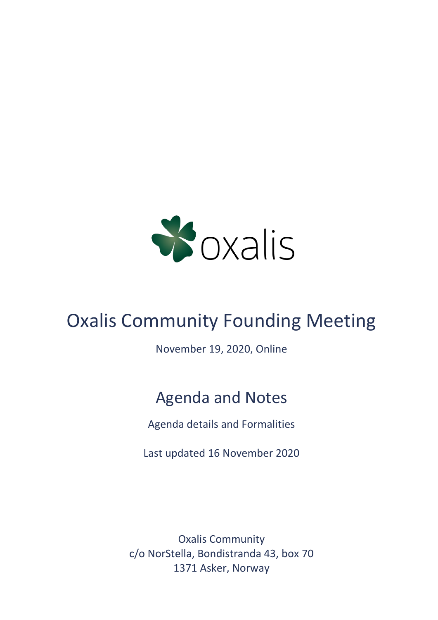

# Oxalis Community Founding Meeting

November 19, 2020, Online

# Agenda and Notes

Agenda details and Formalities

Last updated 16 November 2020

Oxalis Community c/o NorStella, Bondistranda 43, box 70 1371 Asker, Norway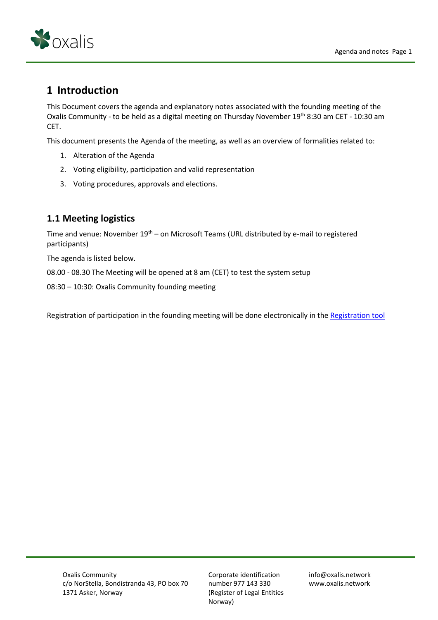

# **1 Introduction**

This Document covers the agenda and explanatory notes associated with the founding meeting of the Oxalis Community - to be held as a digital meeting on Thursday November 19<sup>th</sup> 8:30 am CET - 10:30 am CET.

This document presents the Agenda of the meeting, as well as an overview of formalities related to:

- 1. Alteration of the Agenda
- 2. Voting eligibility, participation and valid representation
- 3. Voting procedures, approvals and elections.

## **1.1 Meeting logistics**

Time and venue: November  $19<sup>th</sup>$  – on Microsoft Teams (URL distributed by e-mail to registered participants)

The agenda is listed below.

08.00 - 08.30 The Meeting will be opened at 8 am (CET) to test the system setup

08:30 – 10:30: Oxalis Community founding meeting

Registration of participation in the founding meeting will be done electronically in the [Registration tool](https://www.oxalis.network/join)

Corporate identification number 977 143 330 (Register of Legal Entities Norway)

info@oxalis.network www.oxalis.network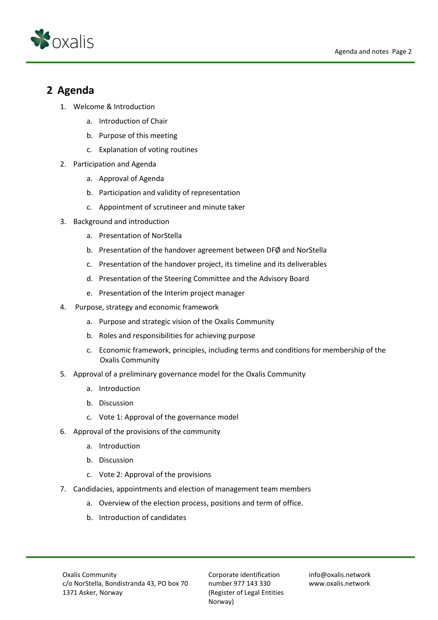

## **2 Agenda**

- 1. Welcome & Introduction
	- a. Introduction of Chair
	- b. Purpose of this meeting
	- c. Explanation of voting routines
- 2. Participation and Agenda
	- a. Approval of Agenda
	- b. Participation and validity of representation
	- c. Appointment of scrutineer and minute taker
- 3. Background and introduction
	- a. Presentation of NorStella
	- b. Presentation of the handover agreement between DFØ and NorStella
	- c. Presentation of the handover project, its timeline and its deliverables
	- d. Presentation of the Steering Committee and the Advisory Board
	- e. Presentation of the Interim project manager
- 4. Purpose, strategy and economic framework
	- a. Purpose and strategic vision of the Oxalis Community
	- b. Roles and responsibilities for achieving purpose
	- c. Economic framework, principles, including terms and conditions for membership of the Oxalis Community
- 5. Approval of a preliminary governance model for the Oxalis Community
	- a. Introduction
	- b. Discussion
	- c. Vote 1: Approval of the governance model
- 6. Approval of the provisions of the community
	- a. Introduction
	- b. Discussion
	- c. Vote 2: Approval of the provisions
- 7. Candidacies, appointments and election of management team members
	- a. Overview of the election process, positions and term of office.
	- b. Introduction of candidates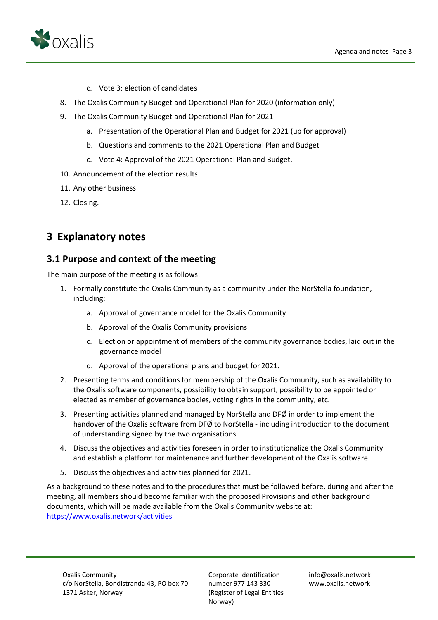

- c. Vote 3: election of candidates
- 8. The Oxalis Community Budget and Operational Plan for 2020 (information only)
- 9. The Oxalis Community Budget and Operational Plan for 2021
	- a. Presentation of the Operational Plan and Budget for 2021 (up for approval)
	- b. Questions and comments to the 2021 Operational Plan and Budget
	- c. Vote 4: Approval of the 2021 Operational Plan and Budget.
- 10. Announcement of the election results
- 11. Any other business
- 12. Closing.

# **3 Explanatory notes**

#### **3.1 Purpose and context of the meeting**

The main purpose of the meeting is as follows:

- 1. Formally constitute the Oxalis Community as a community under the NorStella foundation, including:
	- a. Approval of governance model for the Oxalis Community
	- b. Approval of the Oxalis Community provisions
	- c. Election or appointment of members of the community governance bodies, laid out in the governance model
	- d. Approval of the operational plans and budget for 2021.
- 2. Presenting terms and conditions for membership of the Oxalis Community, such as availability to the Oxalis software components, possibility to obtain support, possibility to be appointed or elected as member of governance bodies, voting rights in the community, etc.
- 3. Presenting activities planned and managed by NorStella and DFØ in order to implement the handover of the Oxalis software from DFØ to NorStella - including introduction to the document of understanding signed by the two organisations.
- 4. Discuss the objectives and activities foreseen in order to institutionalize the Oxalis Community and establish a platform for maintenance and further development of the Oxalis software.
- 5. Discuss the objectives and activities planned for 2021.

As a background to these notes and to the procedures that must be followed before, during and after the meeting, all members should become familiar with the proposed Provisions and other background documents, which will be made available from the Oxalis Community website at: <https://www.oxalis.network/activities>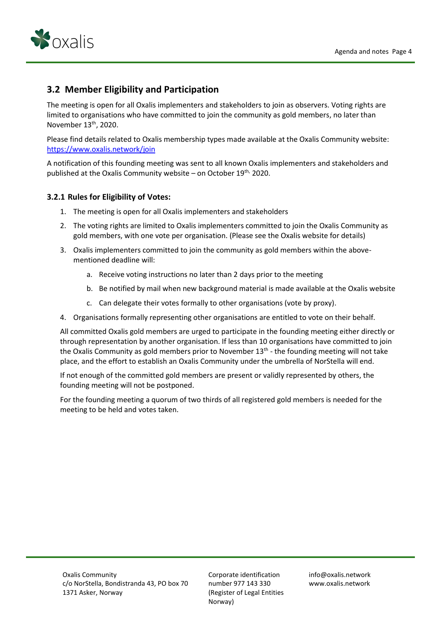

## **3.2 Member Eligibility and Participation**

The meeting is open for all Oxalis implementers and stakeholders to join as observers. Voting rights are limited to organisations who have committed to join the community as gold members, no later than November 13th, 2020.

Please find details related to Oxalis membership types made available at the Oxalis Community website: <https://www.oxalis.network/join>

A notification of this founding meeting was sent to all known Oxalis implementers and stakeholders and published at the Oxalis Community website – on October  $19<sup>th</sup>$ , 2020.

#### **3.2.1 Rules for Eligibility of Votes:**

- 1. The meeting is open for all Oxalis implementers and stakeholders
- 2. The voting rights are limited to Oxalis implementers committed to join the Oxalis Community as gold members, with one vote per organisation. (Please see the Oxalis website for details)
- 3. Oxalis implementers committed to join the community as gold members within the abovementioned deadline will:
	- a. Receive voting instructions no later than 2 days prior to the meeting
	- b. Be notified by mail when new background material is made available at the Oxalis website
	- c. Can delegate their votes formally to other organisations (vote by proxy).
- 4. Organisations formally representing other organisations are entitled to vote on their behalf.

All committed Oxalis gold members are urged to participate in the founding meeting either directly or through representation by another organisation. If less than 10 organisations have committed to join the Oxalis Community as gold members prior to November 13<sup>th</sup> - the founding meeting will not take place, and the effort to establish an Oxalis Community under the umbrella of NorStella will end.

If not enough of the committed gold members are present or validly represented by others, the founding meeting will not be postponed.

For the founding meeting a quorum of two thirds of all registered gold members is needed for the meeting to be held and votes taken.

Corporate identification number 977 143 330 (Register of Legal Entities Norway)

info@oxalis.network www.oxalis.network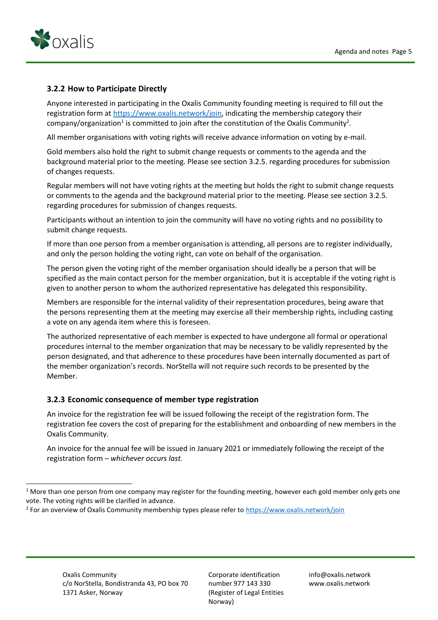

#### **3.2.2 How to Participate Directly**

Anyone interested in participating in the Oxalis Community founding meeting is required to fill out the registration form at [https://www.oxalis.network/join,](https://eur02.safelinks.protection.outlook.com/?url=https%3A%2F%2Fwww.oxalis.network%2Fjoin&data=04%7C01%7C%7C53f581623f3e443687ca08d8742ccf5a%7C1a91f966247e497bbee609072f7ea02a%7C0%7C0%7C637387083683713494%7CUnknown%7CTWFpbGZsb3d8eyJWIjoiMC4wLjAwMDAiLCJQIjoiV2luMzIiLCJBTiI6Ik1haWwiLCJXVCI6Mn0%3D%7C3000&sdata=1%2F3%2FpQw8W9oMWdbmQCXupX8EUiMVR0CehNrqn%2FSS1Xg%3D&reserved=0) indicating the membership category their company/organization<sup>1</sup> is committed to join after the constitution of the Oxalis Community<sup>2</sup>.

All member organisations with voting rights will receive advance information on voting by e-mail.

Gold members also hold the right to submit change requests or comments to the agenda and the background material prior to the meeting. Please see section 3.2.5. regarding procedures for submission of changes requests.

Regular members will not have voting rights at the meeting but holds the right to submit change requests or comments to the agenda and the background material prior to the meeting. Please see section 3.2.5. regarding procedures for submission of changes requests.

Participants without an intention to join the community will have no voting rights and no possibility to submit change requests.

If more than one person from a member organisation is attending, all persons are to register individually, and only the person holding the voting right, can vote on behalf of the organisation.

The person given the voting right of the member organisation should ideally be a person that will be specified as the main contact person for the member organization, but it is acceptable if the voting right is given to another person to whom the authorized representative has delegated this responsibility.

Members are responsible for the internal validity of their representation procedures, being aware that the persons representing them at the meeting may exercise all their membership rights, including casting a vote on any agenda item where this is foreseen.

The authorized representative of each member is expected to have undergone all formal or operational procedures internal to the member organization that may be necessary to be validly represented by the person designated, and that adherence to these procedures have been internally documented as part of the member organization's records. NorStella will not require such records to be presented by the Member.

#### **3.2.3 Economic consequence of member type registration**

An invoice for the registration fee will be issued following the receipt of the registration form. The registration fee covers the cost of preparing for the establishment and onboarding of new members in the Oxalis Community.

An invoice for the annual fee will be issued in January 2021 or immediately following the receipt of the registration form – *whichever occurs last.*

 $1$  More than one person from one company may register for the founding meeting, however each gold member only gets one vote. The voting rights will be clarified in advance.

<sup>&</sup>lt;sup>2</sup> For an overview of Oxalis Community membership types please refer to [https://www.oxalis.network/join](https://eur02.safelinks.protection.outlook.com/?url=https%3A%2F%2Fwww.oxalis.network%2Fjoin&data=04%7C01%7C%7C53f581623f3e443687ca08d8742ccf5a%7C1a91f966247e497bbee609072f7ea02a%7C0%7C0%7C637387083683713494%7CUnknown%7CTWFpbGZsb3d8eyJWIjoiMC4wLjAwMDAiLCJQIjoiV2luMzIiLCJBTiI6Ik1haWwiLCJXVCI6Mn0%3D%7C3000&sdata=1%2F3%2FpQw8W9oMWdbmQCXupX8EUiMVR0CehNrqn%2FSS1Xg%3D&reserved=0)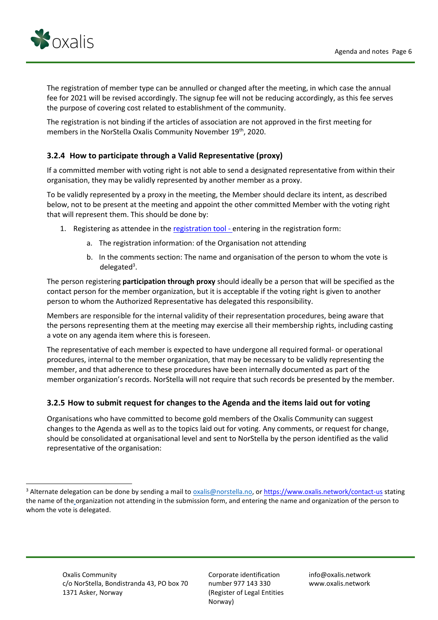

The registration of member type can be annulled or changed after the meeting, in which case the annual fee for 2021 will be revised accordingly. The signup fee will not be reducing accordingly, as this fee serves the purpose of covering cost related to establishment of the community.

The registration is not binding if the articles of association are not approved in the first meeting for members in the NorStella Oxalis Community November 19<sup>th</sup>, 2020.

#### **3.2.4 How to participate through a Valid Representative (proxy)**

If a committed member with voting right is not able to send a designated representative from within their organisation, they may be validly represented by another member as a proxy.

To be validly represented by a proxy in the meeting, the Member should declare its intent, as described below, not to be present at the meeting and appoint the other committed Member with the voting right that will represent them. This should be done by:

- 1. Registering as attendee in th[e registration tool](https://www.oxalis.network/join) entering in the registration form:
	- a. The registration information: of the Organisation not attending
	- b. In the comments section: The name and organisation of the person to whom the vote is delegated<sup>3</sup>.

The person registering **participation through proxy** should ideally be a person that will be specified as the contact person for the member organization, but it is acceptable if the voting right is given to another person to whom the Authorized Representative has delegated this responsibility.

Members are responsible for the internal validity of their representation procedures, being aware that the persons representing them at the meeting may exercise all their membership rights, including casting a vote on any agenda item where this is foreseen.

The representative of each member is expected to have undergone all required formal- or operational procedures, internal to the member organization, that may be necessary to be validly representing the member, and that adherence to these procedures have been internally documented as part of the member organization's records. NorStella will not require that such records be presented by the member.

#### **3.2.5 How to submit request for changes to the Agenda and the items laid out for voting**

Organisations who have committed to become gold members of the Oxalis Community can suggest changes to the Agenda as well as to the topics laid out for voting. Any comments, or request for change, should be consolidated at organisational level and sent to NorStella by the person identified as the valid representative of the organisation:

<sup>&</sup>lt;sup>3</sup> Alternate delegation can be done by sending a mail to *oxalis@norstella.no*, or<https://www.oxalis.network/contact-us> stating the name of the organization not attending in the submission form, and entering the name and organization of the person to whom the vote is delegated.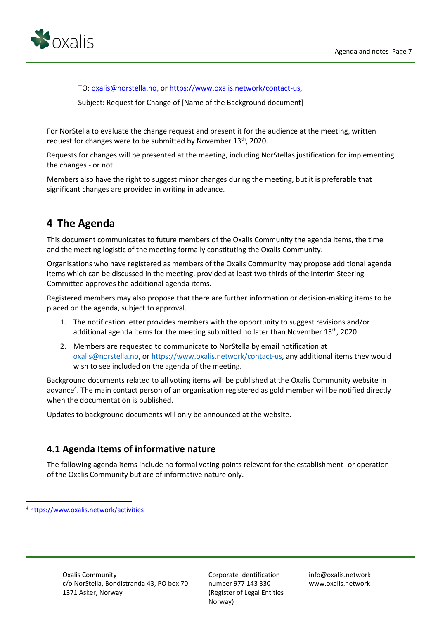

TO[: oxalis@norstella.no,](mailto:oxalis@norstella.no) o[r https://www.oxalis.network/contact-us,](https://www.oxalis.network/contact-us)

Subject: Request for Change of [Name of the Background document]

For NorStella to evaluate the change request and present it for the audience at the meeting, written request for changes were to be submitted by November 13<sup>th</sup>, 2020.

Requests for changes will be presented at the meeting, including NorStellas justification for implementing the changes - or not.

Members also have the right to suggest minor changes during the meeting, but it is preferable that significant changes are provided in writing in advance.

# **4 The Agenda**

This document communicates to future members of the Oxalis Community the agenda items, the time and the meeting logistic of the meeting formally constituting the Oxalis Community.

Organisations who have registered as members of the Oxalis Community may propose additional agenda items which can be discussed in the meeting, provided at least two thirds of the Interim Steering Committee approves the additional agenda items.

Registered members may also propose that there are further information or decision-making items to be placed on the agenda, subject to approval.

- 1. The notification letter provides members with the opportunity to suggest revisions and/or additional agenda items for the meeting submitted no later than November  $13<sup>th</sup>$ , 2020.
- 2. Members are requested to communicate to NorStella by email notification at [oxalis@norstella.no,](mailto:oxalis@norstella.no) o[r https://www.oxalis.network/contact-us,](https://eur02.safelinks.protection.outlook.com/?url=https%3A%2F%2Fwww.oxalis.network%2Fcontact-us&data=04%7C01%7C%7C53f581623f3e443687ca08d8742ccf5a%7C1a91f966247e497bbee609072f7ea02a%7C0%7C0%7C637387083683723488%7CUnknown%7CTWFpbGZsb3d8eyJWIjoiMC4wLjAwMDAiLCJQIjoiV2luMzIiLCJBTiI6Ik1haWwiLCJXVCI6Mn0%3D%7C3000&sdata=WCczef7QDMg%2ByfG%2Fhf6e2gKqyTcxWMUyyz8kLBljGYk%3D&reserved=0) any additional items they would wish to see included on the agenda of the meeting.

Background documents related to all voting items will be published at the Oxalis Community website in advance<sup>4</sup>. The main contact person of an organisation registered as gold member will be notified directly when the documentation is published.

Updates to background documents will only be announced at the website.

#### **4.1 Agenda Items of informative nature**

The following agenda items include no formal voting points relevant for the establishment- or operation of the Oxalis Community but are of informative nature only.

<sup>4</sup> <https://www.oxalis.network/activities>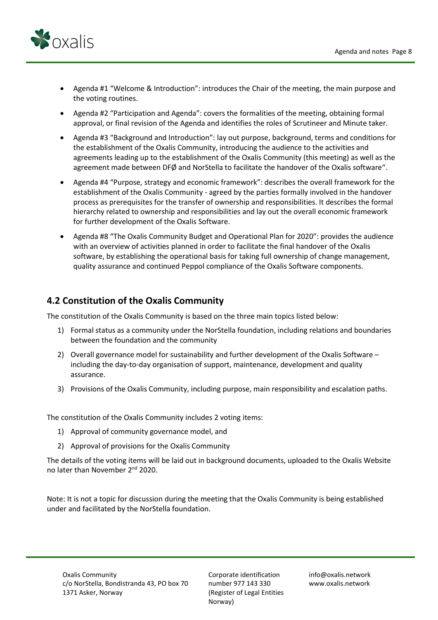

- Agenda #1 "Welcome & Introduction": introduces the Chair of the meeting, the main purpose and the voting routines.
- Agenda #2 "Participation and Agenda": covers the formalities of the meeting, obtaining formal approval, or final revision of the Agenda and identifies the roles of Scrutineer and Minute taker.
- Agenda #3 "Background and Introduction": lay out purpose, background, terms and conditions for the establishment of the Oxalis Community, introducing the audience to the activities and agreements leading up to the establishment of the Oxalis Community (this meeting) as well as the agreement made between DFØ and NorStella to facilitate the handover of the Oxalis software".
- Agenda #4 "Purpose, strategy and economic framework": describes the overall framework for the establishment of the Oxalis Community - agreed by the parties formally involved in the handover process as prerequisites for the transfer of ownership and responsibilities. It describes the formal hierarchy related to ownership and responsibilities and lay out the overall economic framework for further development of the Oxalis Software.
- Agenda #8 "The Oxalis Community Budget and Operational Plan for 2020": provides the audience with an overview of activities planned in order to facilitate the final handover of the Oxalis software, by establishing the operational basis for taking full ownership of change management, quality assurance and continued Peppol compliance of the Oxalis Software components.

### **4.2 Constitution of the Oxalis Community**

The constitution of the Oxalis Community is based on the three main topics listed below:

- 1) Formal status as a community under the NorStella foundation, including relations and boundaries between the foundation and the community
- 2) Overall governance model for sustainability and further development of the Oxalis Software including the day-to-day organisation of support, maintenance, development and quality assurance.
- 3) Provisions of the Oxalis Community, including purpose, main responsibility and escalation paths.

The constitution of the Oxalis Community includes 2 voting items:

- 1) Approval of community governance model, and
- 2) Approval of provisions for the Oxalis Community

The details of the voting items will be laid out in background documents, uploaded to the Oxalis Website no later than November 2nd 2020.

Note: It is not a topic for discussion during the meeting that the Oxalis Community is being established under and facilitated by the NorStella foundation.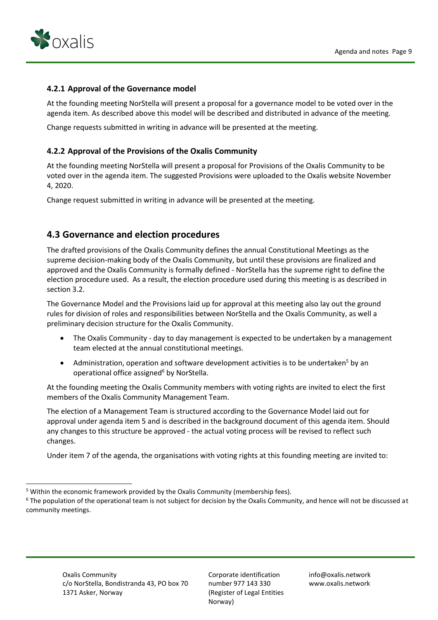

#### **4.2.1 Approval of the Governance model**

At the founding meeting NorStella will present a proposal for a governance model to be voted over in the agenda item. As described above this model will be described and distributed in advance of the meeting.

Change requests submitted in writing in advance will be presented at the meeting.

#### **4.2.2 Approval of the Provisions of the Oxalis Community**

At the founding meeting NorStella will present a proposal for Provisions of the Oxalis Community to be voted over in the agenda item. The suggested Provisions were uploaded to the Oxalis website November 4, 2020.

Change request submitted in writing in advance will be presented at the meeting.

#### **4.3 Governance and election procedures**

The drafted provisions of the Oxalis Community defines the annual Constitutional Meetings as the supreme decision-making body of the Oxalis Community, but until these provisions are finalized and approved and the Oxalis Community is formally defined - NorStella has the supreme right to define the election procedure used. As a result, the election procedure used during this meeting is as described in section 3.2.

The Governance Model and the Provisions laid up for approval at this meeting also lay out the ground rules for division of roles and responsibilities between NorStella and the Oxalis Community, as well a preliminary decision structure for the Oxalis Community.

- The Oxalis Community day to day management is expected to be undertaken by a management team elected at the annual constitutional meetings.
- Administration, operation and software development activities is to be undertaken<sup>5</sup> by an operational office assigned<sup>6</sup> by NorStella.

At the founding meeting the Oxalis Community members with voting rights are invited to elect the first members of the Oxalis Community Management Team.

The election of a Management Team is structured according to the Governance Model laid out for approval under agenda item 5 and is described in the background document of this agenda item. Should any changes to this structure be approved - the actual voting process will be revised to reflect such changes.

Under item 7 of the agenda, the organisations with voting rights at this founding meeting are invited to:

<sup>5</sup> Within the economic framework provided by the Oxalis Community (membership fees).

<sup>&</sup>lt;sup>6</sup> The population of the operational team is not subject for decision by the Oxalis Community, and hence will not be discussed at community meetings.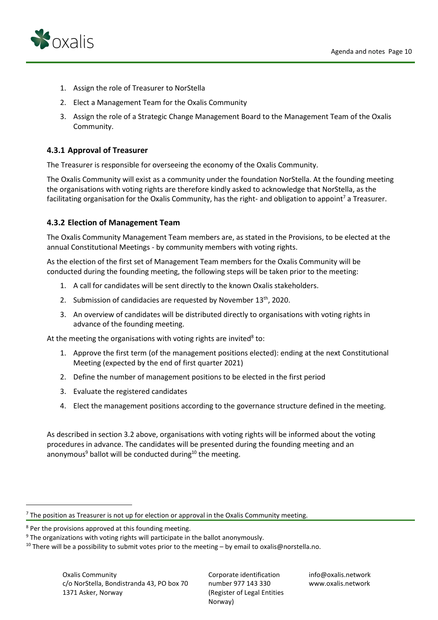

- 1. Assign the role of Treasurer to NorStella
- 2. Elect a Management Team for the Oxalis Community
- 3. Assign the role of a Strategic Change Management Board to the Management Team of the Oxalis Community.

#### **4.3.1 Approval of Treasurer**

The Treasurer is responsible for overseeing the economy of the Oxalis Community.

The Oxalis Community will exist as a community under the foundation NorStella. At the founding meeting the organisations with voting rights are therefore kindly asked to acknowledge that NorStella, as the facilitating organisation for the Oxalis Community, has the right- and obligation to appoint<sup>7</sup> a Treasurer.

#### **4.3.2 Election of Management Team**

The Oxalis Community Management Team members are, as stated in the Provisions, to be elected at the annual Constitutional Meetings - by community members with voting rights.

As the election of the first set of Management Team members for the Oxalis Community will be conducted during the founding meeting, the following steps will be taken prior to the meeting:

- 1. A call for candidates will be sent directly to the known Oxalis stakeholders.
- 2. Submission of candidacies are requested by November  $13<sup>th</sup>$ , 2020.
- 3. An overview of candidates will be distributed directly to organisations with voting rights in advance of the founding meeting.

At the meeting the organisations with voting rights are invited<sup>8</sup> to:

- 1. Approve the first term (of the management positions elected): ending at the next Constitutional Meeting (expected by the end of first quarter 2021)
- 2. Define the number of management positions to be elected in the first period
- 3. Evaluate the registered candidates
- 4. Elect the management positions according to the governance structure defined in the meeting.

As described in section 3.2 above, organisations with voting rights will be informed about the voting procedures in advance. The candidates will be presented during the founding meeting and an anonymous<sup>9</sup> ballot will be conducted during<sup>10</sup> the meeting.

Corporate identification number 977 143 330 (Register of Legal Entities Norway)

info@oxalis.network www.oxalis.network

 $<sup>7</sup>$  The position as Treasurer is not up for election or approval in the Oxalis Community meeting.</sup>

 $8$  Per the provisions approved at this founding meeting.

 $9$  The organizations with voting rights will participate in the ballot anonymously.

<sup>&</sup>lt;sup>10</sup> There will be a possibility to submit votes prior to the meeting - by email to oxalis@norstella.no.